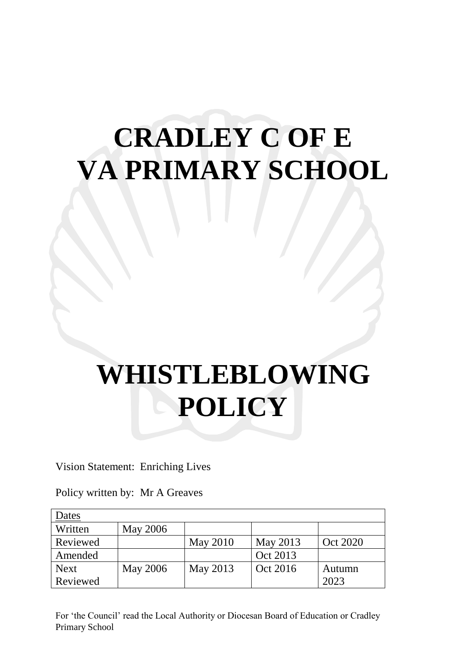## **CRADLEY C OF E VA PRIMARY SCHOOL**

# **WHISTLEBLOWING POLICY**

Vision Statement: Enriching Lives

Policy written by: Mr A Greaves

| Dates       |                 |                 |          |          |
|-------------|-----------------|-----------------|----------|----------|
| Written     | <b>May 2006</b> |                 |          |          |
| Reviewed    |                 | <b>May 2010</b> | May 2013 | Oct 2020 |
| Amended     |                 |                 | Oct 2013 |          |
| <b>Next</b> | <b>May 2006</b> | May 2013        | Oct 2016 | Autumn   |
| Reviewed    |                 |                 |          | 2023     |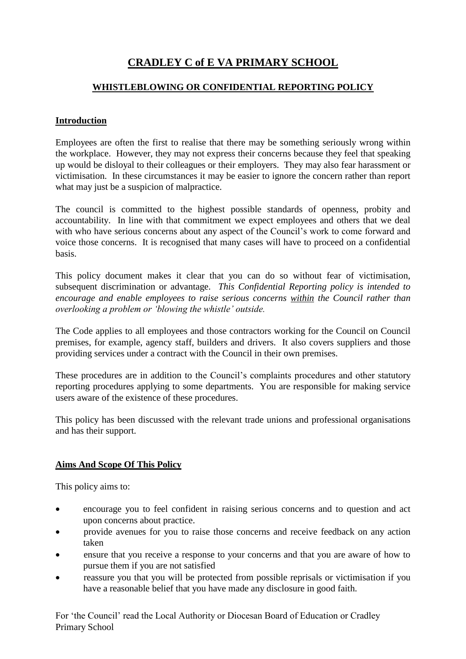### **CRADLEY C of E VA PRIMARY SCHOOL**

#### **WHISTLEBLOWING OR CONFIDENTIAL REPORTING POLICY**

#### **Introduction**

Employees are often the first to realise that there may be something seriously wrong within the workplace. However, they may not express their concerns because they feel that speaking up would be disloyal to their colleagues or their employers. They may also fear harassment or victimisation. In these circumstances it may be easier to ignore the concern rather than report what may just be a suspicion of malpractice.

The council is committed to the highest possible standards of openness, probity and accountability. In line with that commitment we expect employees and others that we deal with who have serious concerns about any aspect of the Council's work to come forward and voice those concerns. It is recognised that many cases will have to proceed on a confidential basis.

This policy document makes it clear that you can do so without fear of victimisation, subsequent discrimination or advantage. *This Confidential Reporting policy is intended to encourage and enable employees to raise serious concerns within the Council rather than overlooking a problem or 'blowing the whistle' outside.*

The Code applies to all employees and those contractors working for the Council on Council premises, for example, agency staff, builders and drivers. It also covers suppliers and those providing services under a contract with the Council in their own premises.

These procedures are in addition to the Council's complaints procedures and other statutory reporting procedures applying to some departments. You are responsible for making service users aware of the existence of these procedures.

This policy has been discussed with the relevant trade unions and professional organisations and has their support.

#### **Aims And Scope Of This Policy**

This policy aims to:

- encourage you to feel confident in raising serious concerns and to question and act upon concerns about practice.
- provide avenues for you to raise those concerns and receive feedback on any action taken
- ensure that you receive a response to your concerns and that you are aware of how to pursue them if you are not satisfied
- reassure you that you will be protected from possible reprisals or victimisation if you have a reasonable belief that you have made any disclosure in good faith.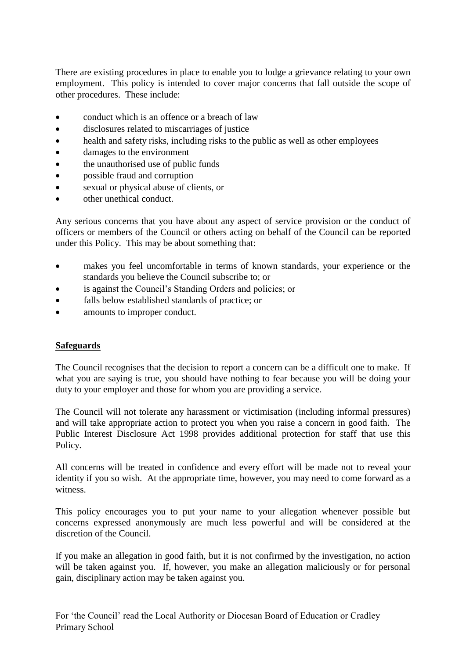There are existing procedures in place to enable you to lodge a grievance relating to your own employment. This policy is intended to cover major concerns that fall outside the scope of other procedures. These include:

- conduct which is an offence or a breach of law
- disclosures related to miscarriages of justice
- health and safety risks, including risks to the public as well as other employees
- damages to the environment
- the unauthorised use of public funds
- possible fraud and corruption
- sexual or physical abuse of clients, or
- other unethical conduct.

Any serious concerns that you have about any aspect of service provision or the conduct of officers or members of the Council or others acting on behalf of the Council can be reported under this Policy. This may be about something that:

- makes you feel uncomfortable in terms of known standards, your experience or the standards you believe the Council subscribe to; or
- is against the Council's Standing Orders and policies; or
- falls below established standards of practice; or
- amounts to improper conduct.

#### **Safeguards**

The Council recognises that the decision to report a concern can be a difficult one to make. If what you are saying is true, you should have nothing to fear because you will be doing your duty to your employer and those for whom you are providing a service.

The Council will not tolerate any harassment or victimisation (including informal pressures) and will take appropriate action to protect you when you raise a concern in good faith. The Public Interest Disclosure Act 1998 provides additional protection for staff that use this Policy.

All concerns will be treated in confidence and every effort will be made not to reveal your identity if you so wish. At the appropriate time, however, you may need to come forward as a witness.

This policy encourages you to put your name to your allegation whenever possible but concerns expressed anonymously are much less powerful and will be considered at the discretion of the Council.

If you make an allegation in good faith, but it is not confirmed by the investigation, no action will be taken against you. If, however, you make an allegation maliciously or for personal gain, disciplinary action may be taken against you.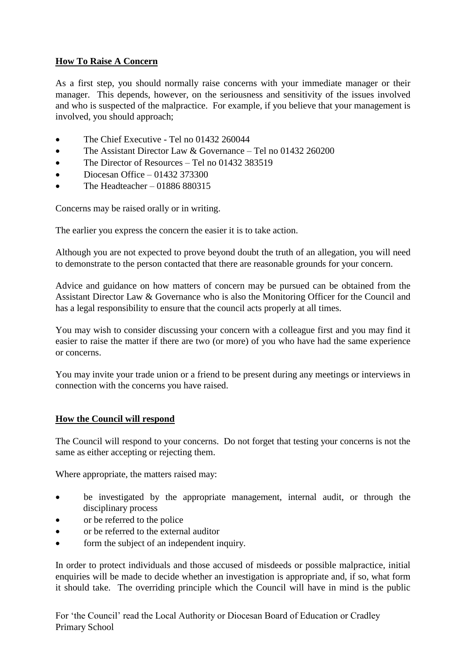#### **How To Raise A Concern**

As a first step, you should normally raise concerns with your immediate manager or their manager. This depends, however, on the seriousness and sensitivity of the issues involved and who is suspected of the malpractice. For example, if you believe that your management is involved, you should approach;

- The Chief Executive Tel no 01432 260044
- The Assistant Director Law & Governance Tel no 01432 260200
- The Director of Resources Tel no 01432 383519
- $\bullet$  Diocesan Office 01432 373300
- The Headteacher 01886 880315

Concerns may be raised orally or in writing.

The earlier you express the concern the easier it is to take action.

Although you are not expected to prove beyond doubt the truth of an allegation, you will need to demonstrate to the person contacted that there are reasonable grounds for your concern.

Advice and guidance on how matters of concern may be pursued can be obtained from the Assistant Director Law & Governance who is also the Monitoring Officer for the Council and has a legal responsibility to ensure that the council acts properly at all times.

You may wish to consider discussing your concern with a colleague first and you may find it easier to raise the matter if there are two (or more) of you who have had the same experience or concerns.

You may invite your trade union or a friend to be present during any meetings or interviews in connection with the concerns you have raised.

#### **How the Council will respond**

The Council will respond to your concerns. Do not forget that testing your concerns is not the same as either accepting or rejecting them.

Where appropriate, the matters raised may:

- be investigated by the appropriate management, internal audit, or through the disciplinary process
- or be referred to the police
- or be referred to the external auditor
- form the subject of an independent inquiry.

In order to protect individuals and those accused of misdeeds or possible malpractice, initial enquiries will be made to decide whether an investigation is appropriate and, if so, what form it should take. The overriding principle which the Council will have in mind is the public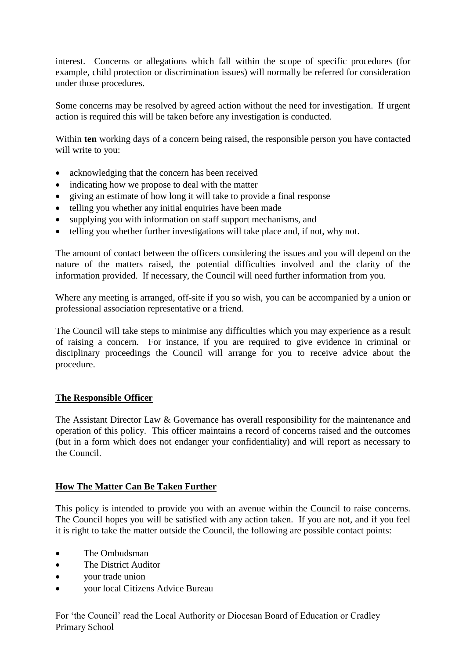interest. Concerns or allegations which fall within the scope of specific procedures (for example, child protection or discrimination issues) will normally be referred for consideration under those procedures.

Some concerns may be resolved by agreed action without the need for investigation. If urgent action is required this will be taken before any investigation is conducted.

Within **ten** working days of a concern being raised, the responsible person you have contacted will write to you:

- acknowledging that the concern has been received
- indicating how we propose to deal with the matter
- giving an estimate of how long it will take to provide a final response
- telling you whether any initial enquiries have been made
- supplying you with information on staff support mechanisms, and
- telling you whether further investigations will take place and, if not, why not.

The amount of contact between the officers considering the issues and you will depend on the nature of the matters raised, the potential difficulties involved and the clarity of the information provided. If necessary, the Council will need further information from you.

Where any meeting is arranged, off-site if you so wish, you can be accompanied by a union or professional association representative or a friend.

The Council will take steps to minimise any difficulties which you may experience as a result of raising a concern. For instance, if you are required to give evidence in criminal or disciplinary proceedings the Council will arrange for you to receive advice about the procedure.

#### **The Responsible Officer**

The Assistant Director Law & Governance has overall responsibility for the maintenance and operation of this policy. This officer maintains a record of concerns raised and the outcomes (but in a form which does not endanger your confidentiality) and will report as necessary to the Council.

#### **How The Matter Can Be Taken Further**

This policy is intended to provide you with an avenue within the Council to raise concerns. The Council hopes you will be satisfied with any action taken. If you are not, and if you feel it is right to take the matter outside the Council, the following are possible contact points:

- The Ombudsman
- The District Auditor
- your trade union
- your local Citizens Advice Bureau